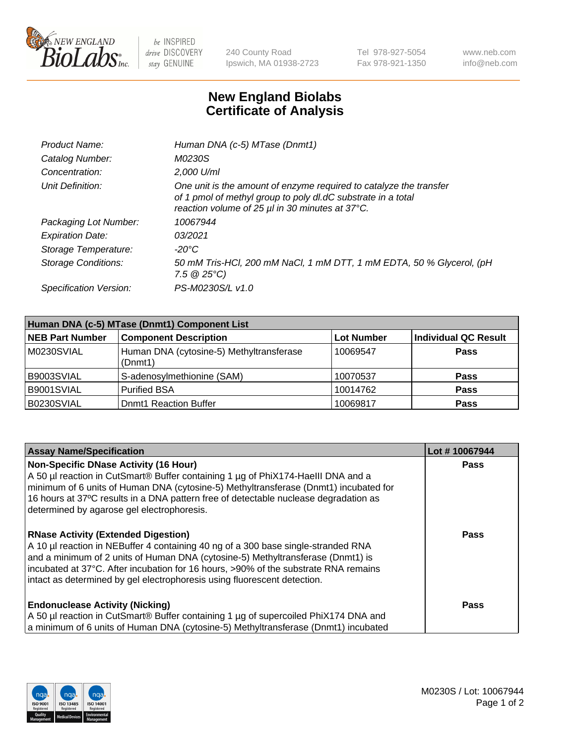

 $be$  INSPIRED drive DISCOVERY stay GENUINE

240 County Road Ipswich, MA 01938-2723 Tel 978-927-5054 Fax 978-921-1350 www.neb.com info@neb.com

## **New England Biolabs Certificate of Analysis**

| Product Name:              | Human DNA (c-5) MTase (Dnmt1)                                                                                                                                                         |
|----------------------------|---------------------------------------------------------------------------------------------------------------------------------------------------------------------------------------|
| Catalog Number:            | <i>M0230S</i>                                                                                                                                                                         |
| Concentration:             | 2,000 U/ml                                                                                                                                                                            |
| Unit Definition:           | One unit is the amount of enzyme required to catalyze the transfer<br>of 1 pmol of methyl group to poly dl.dC substrate in a total<br>reaction volume of 25 µl in 30 minutes at 37°C. |
| Packaging Lot Number:      | 10067944                                                                                                                                                                              |
| <b>Expiration Date:</b>    | 03/2021                                                                                                                                                                               |
| Storage Temperature:       | $-20^{\circ}$ C                                                                                                                                                                       |
| <b>Storage Conditions:</b> | 50 mM Tris-HCl, 200 mM NaCl, 1 mM DTT, 1 mM EDTA, 50 % Glycerol, (pH<br>7.5 $@25°C$ )                                                                                                 |
| Specification Version:     | PS-M0230S/L v1.0                                                                                                                                                                      |

| Human DNA (c-5) MTase (Dnmt1) Component List |                                                     |                   |                      |  |  |
|----------------------------------------------|-----------------------------------------------------|-------------------|----------------------|--|--|
| <b>NEB Part Number</b>                       | <b>Component Description</b>                        | <b>Lot Number</b> | Individual QC Result |  |  |
| M0230SVIAL                                   | Human DNA (cytosine-5) Methyltransferase<br>(Dnmt1) | 10069547          | <b>Pass</b>          |  |  |
| B9003SVIAL                                   | S-adenosylmethionine (SAM)                          | 10070537          | <b>Pass</b>          |  |  |
| B9001SVIAL                                   | <b>Purified BSA</b>                                 | 10014762          | <b>Pass</b>          |  |  |
| B0230SVIAL                                   | <b>Dnmt1 Reaction Buffer</b>                        | 10069817          | <b>Pass</b>          |  |  |

| <b>Assay Name/Specification</b>                                                                                                                                                                                                                                                                                                                                                       | Lot #10067944 |
|---------------------------------------------------------------------------------------------------------------------------------------------------------------------------------------------------------------------------------------------------------------------------------------------------------------------------------------------------------------------------------------|---------------|
| <b>Non-Specific DNase Activity (16 Hour)</b><br>A 50 µl reaction in CutSmart® Buffer containing 1 µg of PhiX174-Haelll DNA and a<br>minimum of 6 units of Human DNA (cytosine-5) Methyltransferase (Dnmt1) incubated for<br>16 hours at 37°C results in a DNA pattern free of detectable nuclease degradation as<br>determined by agarose gel electrophoresis.                        | <b>Pass</b>   |
| <b>RNase Activity (Extended Digestion)</b><br>A 10 µl reaction in NEBuffer 4 containing 40 ng of a 300 base single-stranded RNA<br>and a minimum of 2 units of Human DNA (cytosine-5) Methyltransferase (Dnmt1) is<br>incubated at 37°C. After incubation for 16 hours, >90% of the substrate RNA remains<br>intact as determined by gel electrophoresis using fluorescent detection. | <b>Pass</b>   |
| <b>Endonuclease Activity (Nicking)</b><br>A 50 µl reaction in CutSmart® Buffer containing 1 µg of supercoiled PhiX174 DNA and<br>a minimum of 6 units of Human DNA (cytosine-5) Methyltransferase (Dnmt1) incubated                                                                                                                                                                   | Pass          |